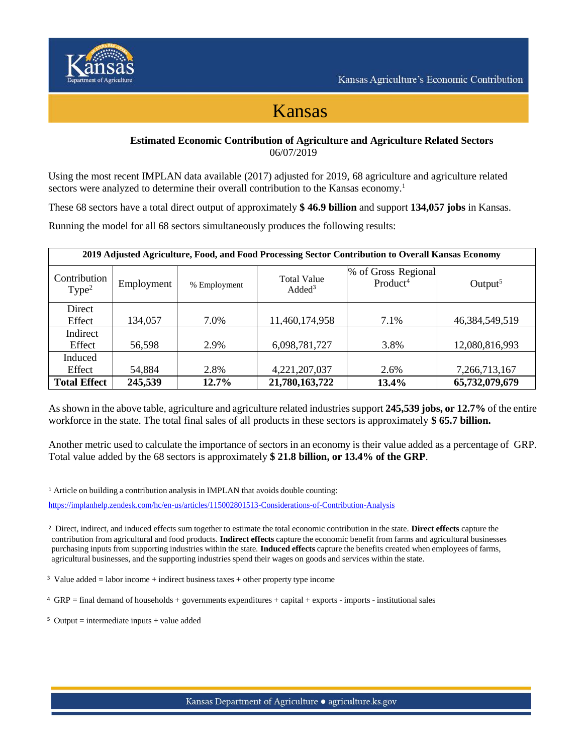

## Kansas

## **Estimated Economic Contribution of Agriculture and Agriculture Related Sectors** 06/07/2019

Using the most recent IMPLAN data available (2017) adjusted for 2019, 68 agriculture and agriculture related sectors were analyzed to determine their overall contribution to the Kansas economy.<sup>1</sup>

These 68 sectors have a total direct output of approximately **\$ 46.9 billion** and support **134,057 jobs** in Kansas.

Running the model for all 68 sectors simultaneously produces the following results:

| 2019 Adjusted Agriculture, Food, and Food Processing Sector Contribution to Overall Kansas Economy |            |              |                                        |                                             |                     |  |  |
|----------------------------------------------------------------------------------------------------|------------|--------------|----------------------------------------|---------------------------------------------|---------------------|--|--|
| Contribution<br>Type <sup>2</sup>                                                                  | Employment | % Employment | <b>Total Value</b><br>$\text{Added}^3$ | % of Gross Regional<br>Product <sup>4</sup> | Output <sup>5</sup> |  |  |
| Direct<br>Effect                                                                                   | 134,057    | 7.0%         | 11,460,174,958                         | 7.1%                                        | 46,384,549,519      |  |  |
| Indirect<br>Effect                                                                                 | 56,598     | 2.9%         | 6,098,781,727                          | 3.8%                                        | 12,080,816,993      |  |  |
| Induced<br>Effect                                                                                  | 54,884     | 2.8%         | 4,221,207,037                          | 2.6%                                        | 7,266,713,167       |  |  |
| <b>Total Effect</b>                                                                                | 245,539    | 12.7%        | 21,780,163,722                         | 13.4%                                       | 65,732,079,679      |  |  |

As shown in the above table, agriculture and agriculture related industries support **245,539 jobs, or 12.7%** of the entire workforce in the state. The total final sales of all products in these sectors is approximately **\$ 65.7 billion.**

Another metric used to calculate the importance of sectors in an economy is their value added as a percentage of GRP. Total value added by the 68 sectors is approximately **\$ 21.8 billion, or 13.4% of the GRP**.

<sup>1</sup> Article on building a contribution analysis in IMPLAN that avoids double counting:

https://implanhelp.zendesk.com/hc/en-us/articles/115002801513-Considerations-of-Contribution-Analysis

2 Direct, indirect, and induced effects sum together to estimate the total economic contribution in the state. **Direct effects** capture the contribution from agricultural and food products. **Indirect effects** capture the economic benefit from farms and agricultural businesses purchasing inputs from supporting industries within the state. **Induced effects** capture the benefits created when employees of farms, agricultural businesses, and the supporting industries spend their wages on goods and services within the state.

<sup>3</sup> Value added = labor income + indirect business taxes + other property type income

4 GRP = final demand of households + governments expenditures + capital + exports - imports - institutional sales

 $5$  Output = intermediate inputs + value added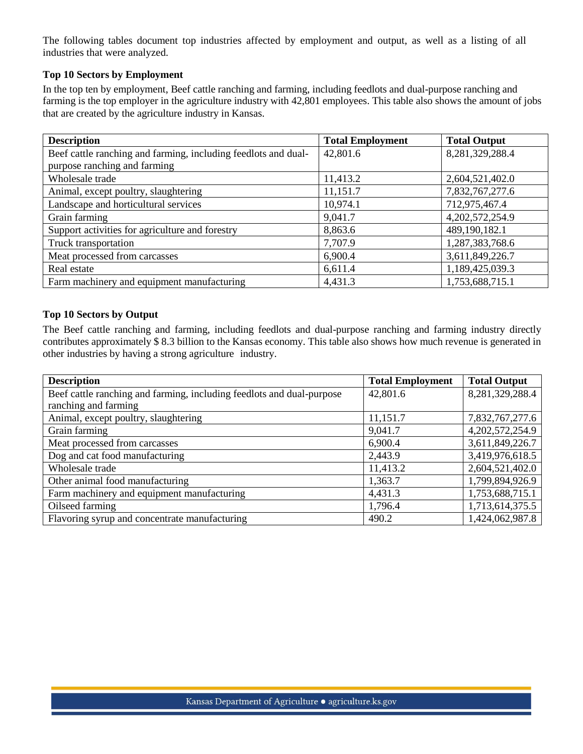The following tables document top industries affected by employment and output, as well as a listing of all industries that were analyzed.

## **Top 10 Sectors by Employment**

In the top ten by employment, Beef cattle ranching and farming, including feedlots and dual-purpose ranching and farming is the top employer in the agriculture industry with 42,801 employees. This table also shows the amount of jobs that are created by the agriculture industry in Kansas.

| <b>Description</b>                                             | <b>Total Employment</b> | <b>Total Output</b> |
|----------------------------------------------------------------|-------------------------|---------------------|
| Beef cattle ranching and farming, including feedlots and dual- | 42,801.6                | 8,281,329,288.4     |
| purpose ranching and farming                                   |                         |                     |
| Wholesale trade                                                | 11,413.2                | 2,604,521,402.0     |
| Animal, except poultry, slaughtering                           | 11,151.7                | 7,832,767,277.6     |
| Landscape and horticultural services                           | 10,974.1                | 712,975,467.4       |
| Grain farming                                                  | 9,041.7                 | 4,202,572,254.9     |
| Support activities for agriculture and forestry                | 8,863.6                 | 489,190,182.1       |
| Truck transportation                                           | 7,707.9                 | 1,287,383,768.6     |
| Meat processed from carcasses                                  | 6,900.4                 | 3,611,849,226.7     |
| Real estate                                                    | 6,611.4                 | 1,189,425,039.3     |
| Farm machinery and equipment manufacturing                     | 4,431.3                 | 1,753,688,715.1     |

## **Top 10 Sectors by Output**

The Beef cattle ranching and farming, including feedlots and dual-purpose ranching and farming industry directly contributes approximately \$ 8.3 billion to the Kansas economy. This table also shows how much revenue is generated in other industries by having a strong agriculture industry.

| <b>Description</b>                                                    | <b>Total Employment</b> | <b>Total Output</b> |
|-----------------------------------------------------------------------|-------------------------|---------------------|
| Beef cattle ranching and farming, including feedlots and dual-purpose | 42,801.6                | 8,281,329,288.4     |
| ranching and farming                                                  |                         |                     |
| Animal, except poultry, slaughtering                                  | 11,151.7                | 7,832,767,277.6     |
| Grain farming                                                         | 9,041.7                 | 4,202,572,254.9     |
| Meat processed from carcasses                                         | 6,900.4                 | 3,611,849,226.7     |
| Dog and cat food manufacturing                                        | 2,443.9                 | 3,419,976,618.5     |
| Wholesale trade                                                       | 11,413.2                | 2,604,521,402.0     |
| Other animal food manufacturing                                       | 1,363.7                 | 1,799,894,926.9     |
| Farm machinery and equipment manufacturing                            | 4,431.3                 | 1,753,688,715.1     |
| Oilseed farming                                                       | 1,796.4                 | 1,713,614,375.5     |
| Flavoring syrup and concentrate manufacturing                         | 490.2                   | 1,424,062,987.8     |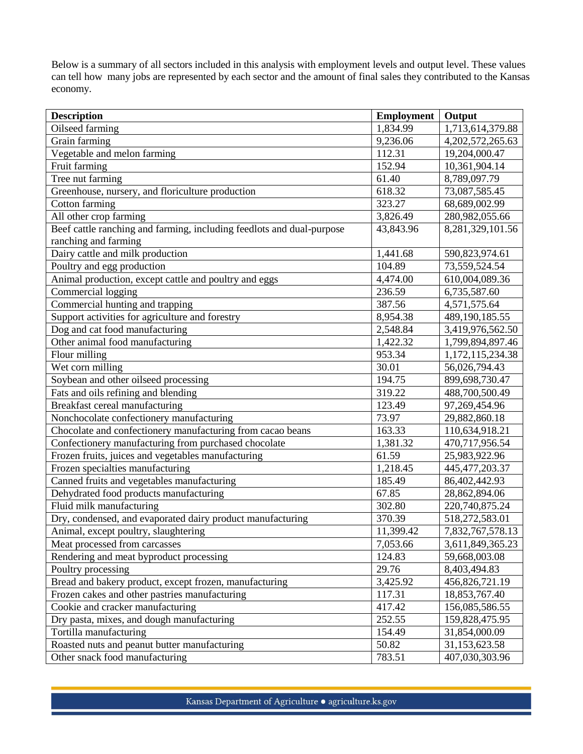Below is a summary of all sectors included in this analysis with employment levels and output level. These values can tell how many jobs are represented by each sector and the amount of final sales they contributed to the Kansas economy.

| <b>Description</b>                                                    | <b>Employment</b> | Output            |
|-----------------------------------------------------------------------|-------------------|-------------------|
| Oilseed farming                                                       | 1,834.99          | 1,713,614,379.88  |
| Grain farming                                                         | 9,236.06          | 4,202,572,265.63  |
| Vegetable and melon farming                                           | 112.31            | 19,204,000.47     |
| Fruit farming                                                         | 152.94            | 10,361,904.14     |
| Tree nut farming                                                      | 61.40             | 8,789,097.79      |
| Greenhouse, nursery, and floriculture production                      | 618.32            | 73,087,585.45     |
| Cotton farming                                                        | 323.27            | 68,689,002.99     |
| All other crop farming                                                | 3,826.49          | 280,982,055.66    |
| Beef cattle ranching and farming, including feedlots and dual-purpose | 43,843.96         | 8,281,329,101.56  |
| ranching and farming                                                  |                   |                   |
| Dairy cattle and milk production                                      | 1,441.68          | 590,823,974.61    |
| Poultry and egg production                                            | 104.89            | 73,559,524.54     |
| Animal production, except cattle and poultry and eggs                 | 4,474.00          | 610,004,089.36    |
| Commercial logging                                                    | 236.59            | 6,735,587.60      |
| Commercial hunting and trapping                                       | 387.56            | 4,571,575.64      |
| Support activities for agriculture and forestry                       | 8,954.38          | 489,190,185.55    |
| Dog and cat food manufacturing                                        | 2,548.84          | 3,419,976,562.50  |
| Other animal food manufacturing                                       | 1,422.32          | 1,799,894,897.46  |
| Flour milling                                                         | 953.34            | 1,172,115,234.38  |
| Wet corn milling                                                      | 30.01             | 56,026,794.43     |
| Soybean and other oilseed processing                                  | 194.75            | 899,698,730.47    |
| Fats and oils refining and blending                                   | 319.22            | 488,700,500.49    |
| Breakfast cereal manufacturing                                        | 123.49            | 97,269,454.96     |
| Nonchocolate confectionery manufacturing                              | 73.97             | 29,882,860.18     |
| Chocolate and confectionery manufacturing from cacao beans            | 163.33            | 110,634,918.21    |
| Confectionery manufacturing from purchased chocolate                  | 1,381.32          | 470,717,956.54    |
| Frozen fruits, juices and vegetables manufacturing                    | 61.59             | 25,983,922.96     |
| Frozen specialties manufacturing                                      | 1,218.45          | 445, 477, 203. 37 |
| Canned fruits and vegetables manufacturing                            | 185.49            | 86,402,442.93     |
| Dehydrated food products manufacturing                                | 67.85             | 28,862,894.06     |
| Fluid milk manufacturing                                              | 302.80            | 220,740,875.24    |
| Dry, condensed, and evaporated dairy product manufacturing            | 370.39            | 518,272,583.01    |
| Animal, except poultry, slaughtering                                  | 11,399.42         | 7,832,767,578.13  |
| Meat processed from carcasses                                         | 7,053.66          | 3,611,849,365.23  |
| Rendering and meat byproduct processing                               | 124.83            | 59,668,003.08     |
| Poultry processing                                                    | 29.76             | 8,403,494.83      |
| Bread and bakery product, except frozen, manufacturing                | 3,425.92          | 456,826,721.19    |
| Frozen cakes and other pastries manufacturing                         | 117.31            | 18,853,767.40     |
| Cookie and cracker manufacturing                                      | 417.42            | 156,085,586.55    |
| Dry pasta, mixes, and dough manufacturing                             | 252.55            | 159,828,475.95    |
| Tortilla manufacturing                                                | 154.49            | 31,854,000.09     |
| Roasted nuts and peanut butter manufacturing                          | 50.82             | 31,153,623.58     |
| Other snack food manufacturing                                        | 783.51            | 407,030,303.96    |